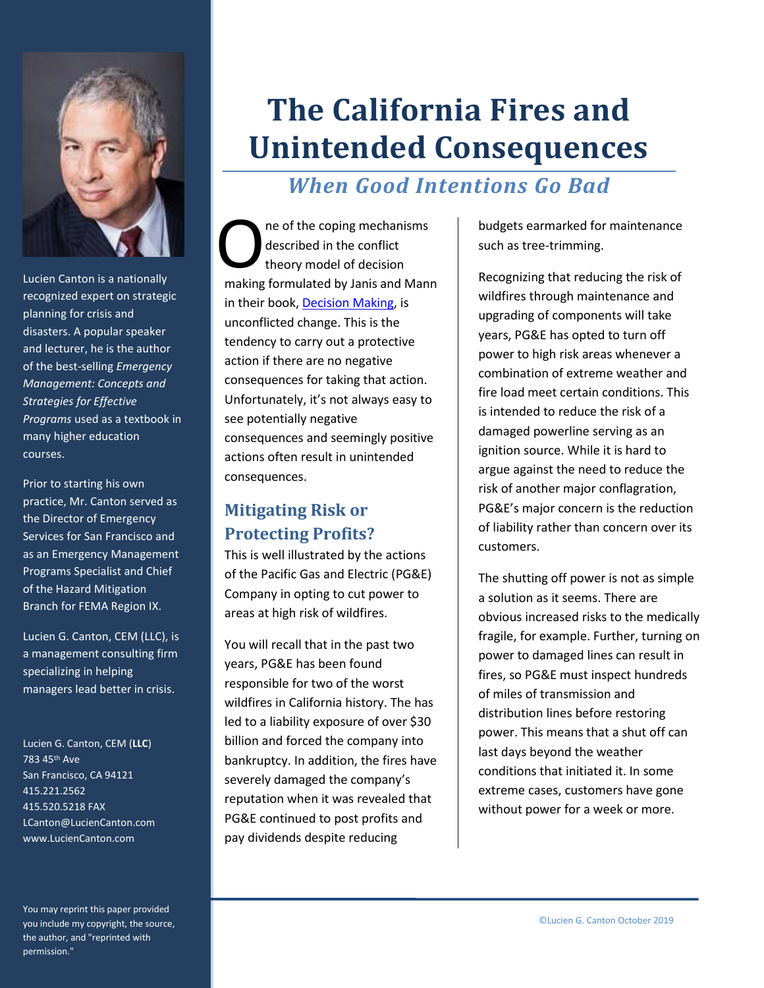

Lucien Canton is a nationally recognized expert on strategic planning for crisis and disasters. A popular speaker and lecturer, he is the author of the best-selling *Emergency Management: Concepts and Strategies for Effective Programs* used as a textbook in many higher education courses.

Prior to starting his own practice, Mr. Canton served as the Director of Emergency Services for San Francisco and as an Emergency Management Programs Specialist and Chief of the Hazard Mitigation Branch for FEMA Region IX.

Lucien G. Canton, CEM (LLC), is a management consulting firm specializing in helping managers lead better in crisis.

Lucien G. Canton, CEM (**LLC**) 783 45th Ave San Francisco, CA 94121 415.221.2562 415.520.5218 FAX LCanton@LucienCanton.com www.LucienCanton.com

You may reprint this paper provided you include my copyright, the source, the author, and "reprinted with permission."

# **The California Fires and Unintended Consequences**

# *When Good Intentions Go Bad*

ne of the coping mechanisms described in the conflict theory model of decision The of the coping mechanisms<br>described in the conflict<br>theory model of decision<br>making formulated by Janis and Mann in their book, [Decision Making,](https://amzn.to/2N1BGh9) is unconflicted change. This is the tendency to carry out a protective action if there are no negative consequences for taking that action. Unfortunately, it's not always easy to see potentially negative consequences and seemingly positive actions often result in unintended consequences.

## **Mitigating Risk or Protecting Profits?**

This is well illustrated by the actions of the Pacific Gas and Electric (PG&E) Company in opting to cut power to areas at high risk of wildfires.

You will recall that in the past two years, PG&E has been found responsible for two of the worst wildfires in California history. The has led to a liability exposure of over \$30 billion and forced the company into bankruptcy. In addition, the fires have severely damaged the company's reputation when it was revealed that PG&E continued to post profits and pay dividends despite reducing

budgets earmarked for maintenance such as tree-trimming.

Recognizing that reducing the risk of wildfires through maintenance and upgrading of components will take years, PG&E has opted to turn off power to high risk areas whenever a combination of extreme weather and fire load meet certain conditions. This is intended to reduce the risk of a damaged powerline serving as an ignition source. While it is hard to argue against the need to reduce the risk of another major conflagration, PG&E's major concern is the reduction of liability rather than concern over its customers.

The shutting off power is not as simple a solution as it seems. There are obvious increased risks to the medically fragile, for example. Further, turning on power to damaged lines can result in fires, so PG&E must inspect hundreds of miles of transmission and distribution lines before restoring power. This means that a shut off can last days beyond the weather conditions that initiated it. In some extreme cases, customers have gone without power for a week or more.